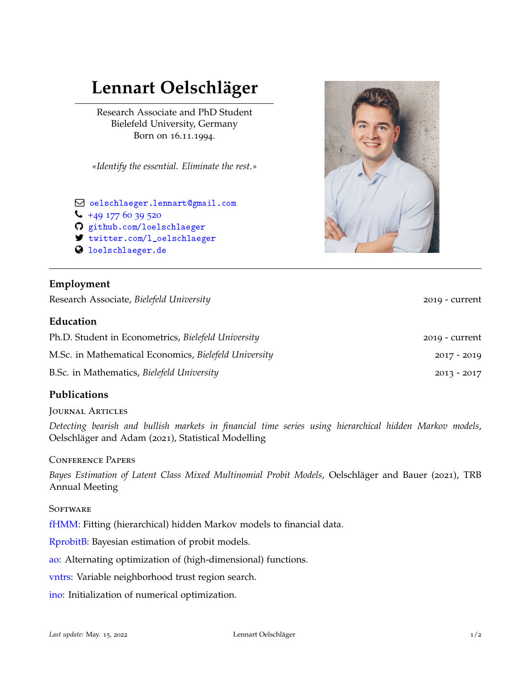# **Lennart Oelschläger**

Research Associate and PhD Student Bielefeld University, Germany Born on 16.11.1994.

*«Identify the essential. Eliminate the rest.»*

Q [oelschlaeger.lennart@gmail.com](mailto:)  $\leftarrow$  +[49 177 60 39 520](tel:+49 177 60 39 520) [github.com/loelschlaeger](https://github.com/loelschlaeger) 7 [twitter.com/l\\_oelschlaeger](https:/twitter.com/l_oelschlaeger) **3** [loelschlaeger.de](https://loelschlaeger.de)

## **Employment**

Research Associate, *Bielefeld University* 2019 - current

## **Education**

| Ph.D. Student in Econometrics, Bielefeld University   | 2019 - current |
|-------------------------------------------------------|----------------|
| M.Sc. in Mathematical Economics, Bielefeld University | $2017 - 2019$  |
| B.Sc. in Mathematics, Bielefeld University            | $2013 - 2017$  |

## **Publications**

#### Journal Articles

*Detecting bearish and bullish markets in financial time series using hierarchical hidden Markov models*, Oelschläger and Adam (2021), Statistical Modelling

#### Conference Papers

*Bayes Estimation of Latent Class Mixed Multinomial Probit Models*, Oelschläger and Bauer (2021), TRB Annual Meeting

#### **SOFTWARE**

[fHMM:](https://loelschlaeger.github.io/fHMM/) Fitting (hierarchical) hidden Markov models to financial data.

[RprobitB:](https://loelschlaeger.github.io/RprobitB/) Bayesian estimation of probit models.

[ao:](https://loelschlaeger.github.io/ao/) Alternating optimization of (high-dimensional) functions.

[vntrs:](https://loelschlaeger.github.io/vntrs/) Variable neighborhood trust region search.

[ino:](https://loelschlaeger.github.io/ino/) Initialization of numerical optimization.